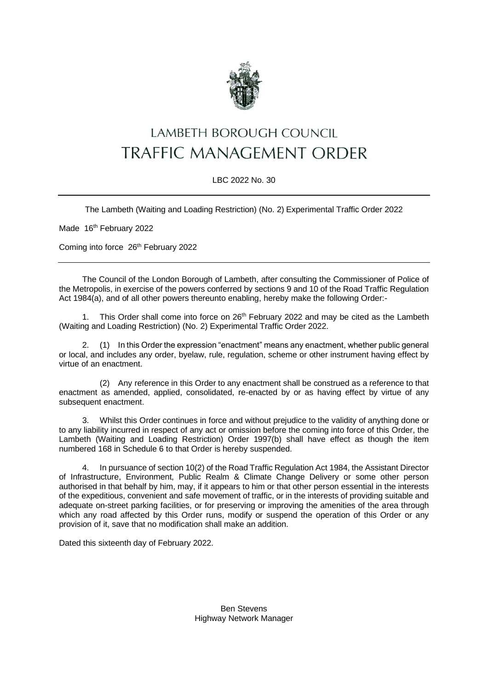

## LAMBETH BOROUGH COUNCIL **TRAFFIC MANAGEMENT ORDER**

## LBC 2022 No. 30

The Lambeth (Waiting and Loading Restriction) (No. 2) Experimental Traffic Order 2022

Made 16<sup>th</sup> February 2022

Coming into force 26<sup>th</sup> February 2022

The Council of the London Borough of Lambeth, after consulting the Commissioner of Police of the Metropolis, in exercise of the powers conferred by sections 9 and 10 of the Road Traffic Regulation Act 1984(a), and of all other powers thereunto enabling, hereby make the following Order:-

1. This Order shall come into force on  $26<sup>th</sup>$  February 2022 and may be cited as the Lambeth (Waiting and Loading Restriction) (No. 2) Experimental Traffic Order 2022.

2. (1) In this Order the expression "enactment" means any enactment, whether public general or local, and includes any order, byelaw, rule, regulation, scheme or other instrument having effect by virtue of an enactment.

(2) Any reference in this Order to any enactment shall be construed as a reference to that enactment as amended, applied, consolidated, re-enacted by or as having effect by virtue of any subsequent enactment.

3. Whilst this Order continues in force and without prejudice to the validity of anything done or to any liability incurred in respect of any act or omission before the coming into force of this Order, the Lambeth (Waiting and Loading Restriction) Order 1997(b) shall have effect as though the item numbered 168 in Schedule 6 to that Order is hereby suspended.

4. In pursuance of section 10(2) of the Road Traffic Regulation Act 1984, the Assistant Director of Infrastructure, Environment, Public Realm & Climate Change Delivery or some other person authorised in that behalf by him, may, if it appears to him or that other person essential in the interests of the expeditious, convenient and safe movement of traffic, or in the interests of providing suitable and adequate on-street parking facilities, or for preserving or improving the amenities of the area through which any road affected by this Order runs, modify or suspend the operation of this Order or any provision of it, save that no modification shall make an addition.

Dated this sixteenth day of February 2022.

Ben Stevens Highway Network Manager